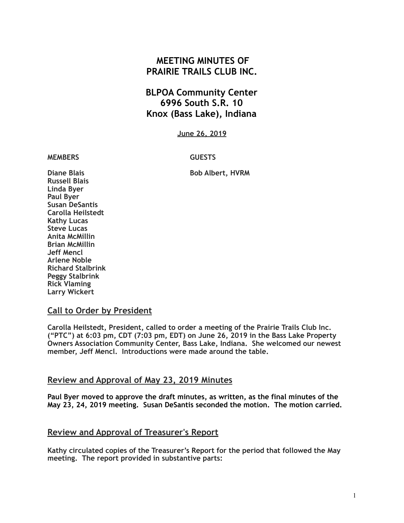# **MEETING MINUTES OF PRAIRIE TRAILS CLUB INC.**

# **BLPOA Community Center 6996 South S.R. 10 Knox (Bass Lake), Indiana**

**June 26, 2019**

#### **MEMBERS GUESTS**

**Diane Blais** Bob Albert, HVRM

**Russell Blais Linda Byer Paul Byer Susan DeSantis Carolla Heilstedt Kathy Lucas Steve Lucas Anita McMillin Brian McMillin Jeff Mencl Arlene Noble Richard Stalbrink Peggy Stalbrink Rick Vlaming Larry Wickert** 

#### **Call to Order by President**

**Carolla Heilstedt, President, called to order a meeting of the Prairie Trails Club Inc. ("PTC") at 6:03 pm, CDT (7:03 pm, EDT) on June 26, 2019 in the Bass Lake Property Owners Association Community Center, Bass Lake, Indiana. She welcomed our newest member, Jeff Mencl. Introductions were made around the table.**

#### **Review and Approval of May 23, 2019 Minutes**

**Paul Byer moved to approve the draft minutes, as written, as the final minutes of the May 23, 24, 2019 meeting. Susan DeSantis seconded the motion. The motion carried.** 

#### **Review and Approval of Treasurer's Report**

**Kathy circulated copies of the Treasurer's Report for the period that followed the May meeting. The report provided in substantive parts:**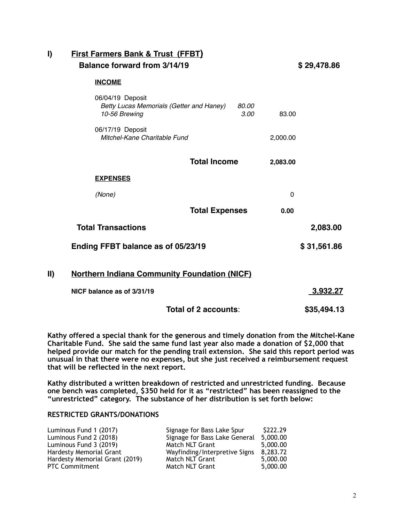| I)            | <b>First Farmers Bank &amp; Trust (FFBT)</b><br>Balance forward from 3/14/19  |                       |                 | \$29,478.86 |  |  |
|---------------|-------------------------------------------------------------------------------|-----------------------|-----------------|-------------|--|--|
|               | <b>INCOME</b>                                                                 |                       |                 |             |  |  |
|               | 06/04/19 Deposit<br>Betty Lucas Memorials (Getter and Haney)<br>10-56 Brewing | 80.00<br>3.00         | 83.00           |             |  |  |
|               | 06/17/19 Deposit<br>Mitchel-Kane Charitable Fund                              |                       | 2,000.00        |             |  |  |
|               | <b>Total Income</b>                                                           |                       | 2,083.00        |             |  |  |
|               | <b>EXPENSES</b>                                                               |                       |                 |             |  |  |
|               | (None)                                                                        |                       | $\mathbf{0}$    |             |  |  |
|               |                                                                               | <b>Total Expenses</b> |                 |             |  |  |
|               | <b>Total Transactions</b>                                                     |                       |                 | 2,083.00    |  |  |
|               | Ending FFBT balance as of 05/23/19                                            |                       |                 | \$31,561.86 |  |  |
| $\mathbf{II}$ | <b>Northern Indiana Community Foundation (NICF)</b>                           |                       |                 |             |  |  |
|               | NICF balance as of 3/31/19                                                    |                       | <u>3,932.27</u> |             |  |  |
|               | Total of 2 accounts:                                                          |                       |                 | \$35,494.13 |  |  |

**Kathy offered a special thank for the generous and timely donation from the Mitchel-Kane Charitable Fund. She said the same fund last year also made a donation of \$2,000 that helped provide our match for the pending trail extension. She said this report period was unusual in that there were no expenses, but she just received a reimbursement request that will be reflected in the next report.** 

**Kathy distributed a written breakdown of restricted and unrestricted funding. Because one bench was completed, \$350 held for it as "restricted" has been reassigned to the "unrestricted" category. The substance of her distribution is set forth below:** 

#### **RESTRICTED GRANTS/DONATIONS**

| Luminous Fund 1 (2017)         | Signage for Bass Lake Spur    | \$222.29 |
|--------------------------------|-------------------------------|----------|
| Luminous Fund 2 (2018)         | Signage for Bass Lake General | 5,000.00 |
| Luminous Fund 3 (2019)         | Match NLT Grant               | 5,000.00 |
| <b>Hardesty Memorial Grant</b> | Wayfinding/Interpretive Signs | 8,283.72 |
| Hardesty Memorial Grant (2019) | Match NLT Grant               | 5,000.00 |
| <b>PTC Commitment</b>          | Match NLT Grant               | 5,000.00 |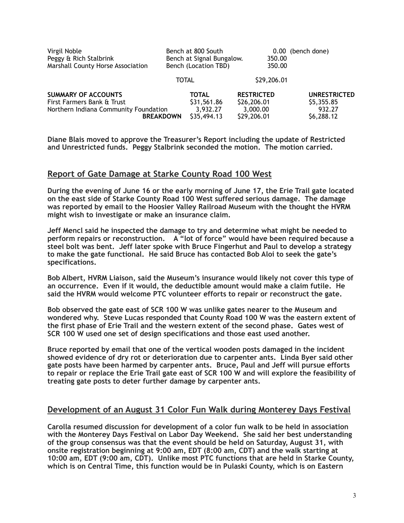| Virgil Noble<br>Peggy & Rich Stalbrink<br>Marshall County Horse Association | Bench at 800 South<br>Bench at Signal Bungalow.<br>Bench (Location TBD) |                         | (bench done)<br>0.00<br>350.00<br>350.00 |
|-----------------------------------------------------------------------------|-------------------------------------------------------------------------|-------------------------|------------------------------------------|
|                                                                             | <b>TOTAL</b>                                                            | \$29,206.01             |                                          |
| <b>SUMMARY OF ACCOUNTS</b>                                                  | <b>TOTAL</b>                                                            | <b>RESTRICTED</b>       | <b>UNRESTRICTED</b>                      |
| First Farmers Bank & Trust                                                  | \$31,561.86                                                             | \$26,206.01             | \$5,355.85                               |
| Northern Indiana Community Foundation<br><b>BREAKDOWN</b>                   | 3,932.27<br>\$35,494.13                                                 | 3,000.00<br>\$29,206.01 | 932.27<br>\$6,288.12                     |

**Diane Blais moved to approve the Treasurer's Report including the update of Restricted and Unrestricted funds. Peggy Stalbrink seconded the motion. The motion carried.** 

### **Report of Gate Damage at Starke County Road 100 West**

**During the evening of June 16 or the early morning of June 17, the Erie Trail gate located on the east side of Starke County Road 100 West suffered serious damage. The damage was reported by email to the Hoosier Valley Railroad Museum with the thought the HVRM might wish to investigate or make an insurance claim.** 

**Jeff Mencl said he inspected the damage to try and determine what might be needed to perform repairs or reconstruction. A "lot of force" would have been required because a steel bolt was bent. Jeff later spoke with Bruce Fingerhut and Paul to develop a strategy to make the gate functional. He said Bruce has contacted Bob Aloi to seek the gate's specifications.** 

**Bob Albert, HVRM Liaison, said the Museum's insurance would likely not cover this type of an occurrence. Even if it would, the deductible amount would make a claim futile. He said the HVRM would welcome PTC volunteer efforts to repair or reconstruct the gate.** 

**Bob observed the gate east of SCR 100 W was unlike gates nearer to the Museum and wondered why. Steve Lucas responded that County Road 100 W was the eastern extent of the first phase of Erie Trail and the western extent of the second phase. Gates west of SCR 100 W used one set of design specifications and those east used another.** 

**Bruce reported by email that one of the vertical wooden posts damaged in the incident showed evidence of dry rot or deterioration due to carpenter ants. Linda Byer said other gate posts have been harmed by carpenter ants. Bruce, Paul and Jeff will pursue efforts to repair or replace the Erie Trail gate east of SCR 100 W and will explore the feasibility of treating gate posts to deter further damage by carpenter ants.** 

#### **Development of an August 31 Color Fun Walk during Monterey Days Festival**

**Carolla resumed discussion for development of a color fun walk to be held in association with the Monterey Days Festival on Labor Day Weekend. She said her best understanding of the group consensus was that the event should be held on Saturday, August 31, with onsite registration beginning at 9:00 am, EDT (8:00 am, CDT) and the walk starting at 10:00 am, EDT (9:00 am, CDT). Unlike most PTC functions that are held in Starke County, which is on Central Time, this function would be in Pulaski County, which is on Eastern**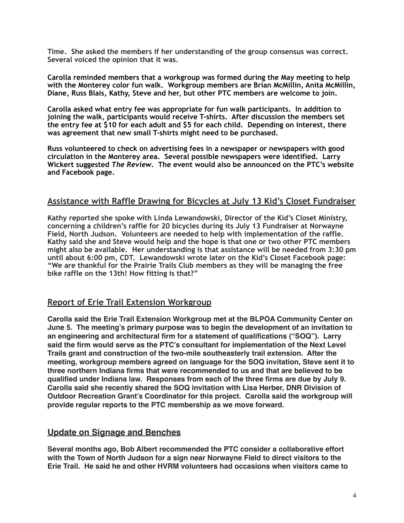**Time. She asked the members if her understanding of the group consensus was correct. Several voiced the opinion that it was.** 

**Carolla reminded members that a workgroup was formed during the May meeting to help with the Monterey color fun walk. Workgroup members are Brian McMillin, Anita McMillin, Diane, Russ Blais, Kathy, Steve and her, but other PTC members are welcome to join.** 

**Carolla asked what entry fee was appropriate for fun walk participants. In addition to joining the walk, participants would receive T-shirts. After discussion the members set the entry fee at \$10 for each adult and \$5 for each child. Depending on interest, there was agreement that new small T-shirts might need to be purchased.** 

**Russ volunteered to check on advertising fees in a newspaper or newspapers with good circulation in the Monterey area. Several possible newspapers were identified. Larry Wickert suggested** *The Review***. The event would also be announced on the PTC's website and Facebook page.** 

### **Assistance with Raffle Drawing for Bicycles at July 13 Kid's Closet Fundraiser**

**Kathy reported she spoke with Linda Lewandowski, Director of the Kid's Closet Ministry, concerning a children's raffle for 20 bicycles during its July 13 Fundraiser at Norwayne Field, North Judson. Volunteers are needed to help with implementation of the raffle. Kathy said she and Steve would help and the hope is that one or two other PTC members might also be available. Her understanding is that assistance will be needed from 3:30 pm until about 6:00 pm, CDT. Lewandowski wrote later on the Kid's Closet Facebook page: "We are thankful for the Prairie Trails Club members as they will be managing the free bike raffle on the 13th! How fitting is that?"** 

#### **Report of Erie Trail Extension Workgroup**

**Carolla said the Erie Trail Extension Workgroup met at the BLPOA Community Center on June 5. The meeting's primary purpose was to begin the development of an invitation to an engineering and architectural firm for a statement of qualifications ("SOQ"). Larry said the firm would serve as the PTC's consultant for implementation of the Next Level Trails grant and construction of the two-mile southeasterly trail extension. After the meeting, workgroup members agreed on language for the SOQ invitation, Steve sent it to three northern Indiana firms that were recommended to us and that are believed to be qualified under Indiana law. Responses from each of the three firms are due by July 9. Carolla said she recently shared the SOQ invitation with Lisa Herber, DNR Division of Outdoor Recreation Grant's Coordinator for this project. Carolla said the workgroup will provide regular reports to the PTC membership as we move forward.**

#### **Update on Signage and Benches**

**Several months ago, Bob Albert recommended the PTC consider a collaborative effort with the Town of North Judson for a sign near Norwayne Field to direct visitors to the Erie Trail. He said he and other HVRM volunteers had occasions when visitors came to**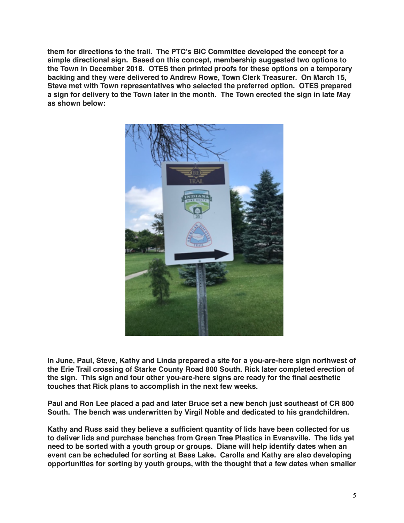**them for directions to the trail. The PTC's BIC Committee developed the concept for a simple directional sign. Based on this concept, membership suggested two options to the Town in December 2018. OTES then printed proofs for these options on a temporary backing and they were delivered to Andrew Rowe, Town Clerk Treasurer. On March 15, Steve met with Town representatives who selected the preferred option. OTES prepared a sign for delivery to the Town later in the month. The Town erected the sign in late May as shown below:**



**In June, Paul, Steve, Kathy and Linda prepared a site for a you-are-here sign northwest of the Erie Trail crossing of Starke County Road 800 South. Rick later completed erection of the sign. This sign and four other you-are-here signs are ready for the final aesthetic touches that Rick plans to accomplish in the next few weeks.** 

**Paul and Ron Lee placed a pad and later Bruce set a new bench just southeast of CR 800 South. The bench was underwritten by Virgil Noble and dedicated to his grandchildren.**

**Kathy and Russ said they believe a sufficient quantity of lids have been collected for us to deliver lids and purchase benches from Green Tree Plastics in Evansville. The lids yet need to be sorted with a youth group or groups. Diane will help identify dates when an event can be scheduled for sorting at Bass Lake. Carolla and Kathy are also developing opportunities for sorting by youth groups, with the thought that a few dates when smaller**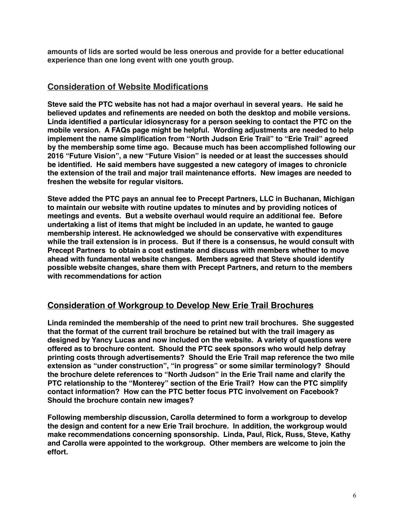**amounts of lids are sorted would be less onerous and provide for a better educational experience than one long event with one youth group.**

## **Consideration of Website Modifications**

**Steve said the PTC website has not had a major overhaul in several years. He said he believed updates and refinements are needed on both the desktop and mobile versions. Linda identified a particular idiosyncrasy for a person seeking to contact the PTC on the mobile version. A FAQs page might be helpful. Wording adjustments are needed to help implement the name simplification from "North Judson Erie Trail" to "Erie Trail" agreed by the membership some time ago. Because much has been accomplished following our 2016 "Future Vision", a new "Future Vision" is needed or at least the successes should be identified. He said members have suggested a new category of images to chronicle the extension of the trail and major trail maintenance efforts. New images are needed to freshen the website for regular visitors.**

**Steve added the PTC pays an annual fee to Precept Partners, LLC in Buchanan, Michigan to maintain our website with routine updates to minutes and by providing notices of meetings and events. But a website overhaul would require an additional fee. Before undertaking a list of items that might be included in an update, he wanted to gauge membership interest. He acknowledged we should be conservative with expenditures while the trail extension is in process. But if there is a consensus, he would consult with Precept Partners to obtain a cost estimate and discuss with members whether to move ahead with fundamental website changes. Members agreed that Steve should identify possible website changes, share them with Precept Partners, and return to the members with recommendations for action**

# **Consideration of Workgroup to Develop New Erie Trail Brochures**

**Linda reminded the membership of the need to print new trail brochures. She suggested that the format of the current trail brochure be retained but with the trail imagery as designed by Yancy Lucas and now included on the website. A variety of questions were offered as to brochure content. Should the PTC seek sponsors who would help defray printing costs through advertisements? Should the Erie Trail map reference the two mile extension as "under construction", "in progress" or some similar terminology? Should the brochure delete references to "North Judson" in the Erie Trail name and clarify the PTC relationship to the "Monterey" section of the Erie Trail? How can the PTC simplify contact information? How can the PTC better focus PTC involvement on Facebook? Should the brochure contain new images?**

**Following membership discussion, Carolla determined to form a workgroup to develop the design and content for a new Erie Trail brochure. In addition, the workgroup would make recommendations concerning sponsorship. Linda, Paul, Rick, Russ, Steve, Kathy and Carolla were appointed to the workgroup. Other members are welcome to join the effort.**